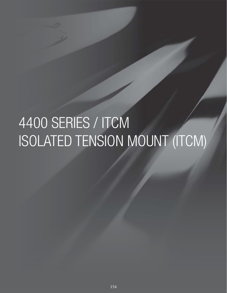# 4400 SERIES / ITCM ISOLATED TENSION MOUNT (ITCM)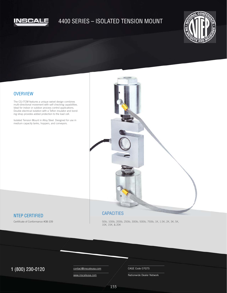

## 4400 SERIES – ISOLATED TENSION MOUNT



#### **OVERVIEW**

The CG-ITCM features a unique swivel design combines multi-directional movement with self-checking capabilities. Ideal for indoor or outdoor process control applications. Double electrical isolation with a Teflon insulator and bonding strap provides added protection to the load cell.

Isolated Tension Mount in Alloy Steel. Designed for use in medium capacity tanks, hoppers, and conveyors.



### NTEP CERTIFIED

Certificate of Conformance #08-109

50lb, 100lb, 200lb, 250lb, 300lb, 500lb, 750lb, 1K, 1.5K, 2K, 3K, 5K, 10K, 15K, & 20K

## $1 (800) 230 - 0120$  Contact@inscaleusa.com CAGE Code 07GT5

contact@inscaleusa.com www.inscaleusa.com

Nationwide Dealer Network

155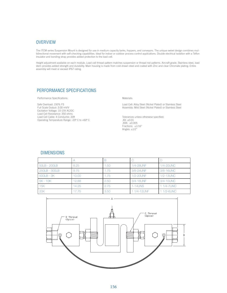#### **OVERVIEW**

The ITCM series Suspension Mount is designed for use in medium capacity tanks, hoppers, and conveyors. The unique swivel design combines multidirectional movement with self-checking capabilities. Ideal for indoor or outdoor process control applications. Double electrical isolation with a Teflon insulator and bonding strap provides added protection to the load cell.

Height adjustment available on each module. Load cell thread pattern matches suspension or thread rod patterns. Aircraft grade. Stainless steel, load stem provides added strength and durability. Main housing is made from cold drawn steel and coated with Zinc and clear Chromate plating. Entire assembly will meet or exceed IP67 rating.

#### PERFORMANCE SPECIFICATIONS

Performance Specifications:

Safe Overload: 150% FS Full Scale Output: 3.00 mV/V Excitation Voltage: 10-15V AC/DC Load Cell Resistance: 350 ohms Load Cell Cable: 4 Conductor, 20ft Operating Temperature Range: -20º C to +60º C Materials:

Load Cell: Alloy Steel (Nickel Plated) or Stainless Steel Assembly: Mild Steel (Nickel Plated) or Stainless Steel

Tolerances unless otherwise specified: .XX: ±0.01 .XXX: ±0.005 Fractions: ±1/16" Angles:  $\pm 1/2$ "

#### DIMENSIONS

| 50LB - 200LB  | 8.25  | .50  | 1/4-28UNF      | <b>1/4-20UNC</b> |
|---------------|-------|------|----------------|------------------|
| 250LB - 300LB | 9.75  | 1.75 | 3/8-24UNF      | 3/8-16UNC        |
| $500LB - 3K$  | 10.00 | 1.75 | 1/2-20UNF      | 1/2-13UNC        |
| $5K - 10K$    | 12.88 | 2.50 | 3/4-16UNF      | 3/4-10UNC        |
| 15K           | 14.25 | 2.75 | <b>1-14UNS</b> | 1 1/4-7UNC       |
| 20K           | 17.75 | 3.50 | 1 1/4-12UNF    | 11/2-6UNC        |